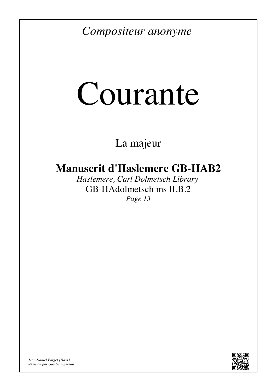*Compositeur anonyme*

# Courante

La majeur

## **Manuscrit d'Haslemere GB-HAB2**

*Haslemere, Carl Dolmetsch Library* GB-HAdolmetsch ms II.B.2 *Page 13*



*Jean-Daniel Forget [Has4] Révision par Guy Grangereau*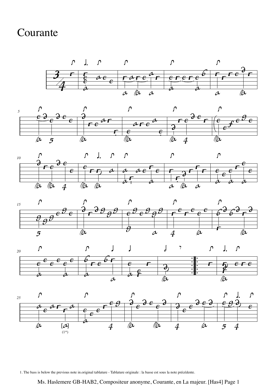### Courante













1. The bass is below the previous note in.original tablature - Tablature originale : la basse est sous la note précédente.

#### Ms. Haslemere GB-HAB2, Compositeur anonyme, Courante, en La majeur. [Has4] Page 1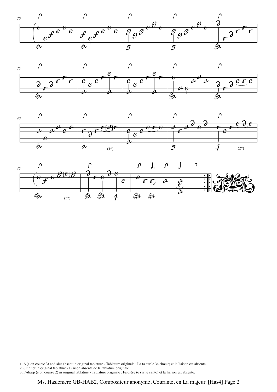







1. A (a on course 3) and slur absent in original tablature - Tablature originale : La (a sur le 3e chœur) et la liaison est absente.

2. Slur not in original tablature - Liaison absente de la tablature originale.

3. F-sharp (e on course 2) in original tablature - Tablature originale : Fa dièse (e sur le canto) et la liaison est absente.